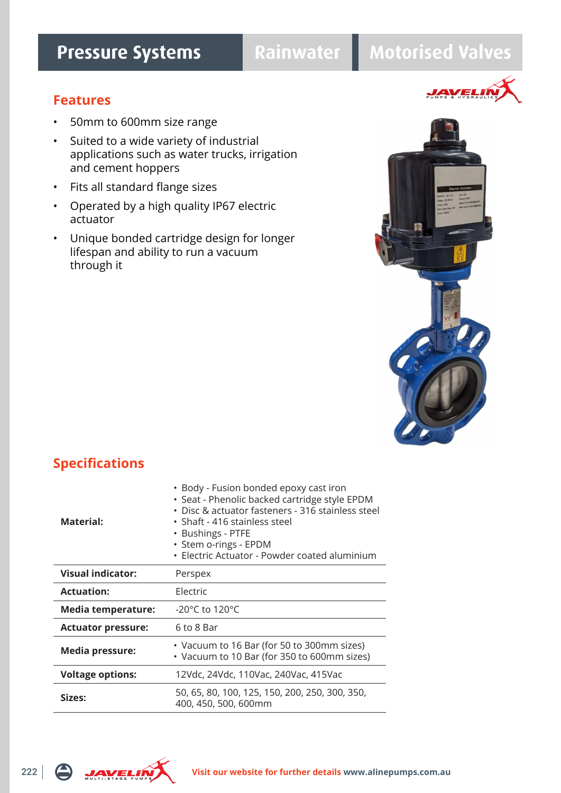# **Pressure Systems Rainwater Motorised Valves**

**JAVEL!** 

### **Features**

- 50mm to 600mm size range
- Suited to a wide variety of industrial applications such as water trucks, irrigation and cement hoppers
- Fits all standard flange sizes
- Operated by a high quality IP67 electric actuator
- Unique bonded cartridge design for longer lifespan and ability to run a vacuum through it



| Material:                 | • Body - Fusion bonded epoxy cast iron<br>· Seat - Phenolic backed cartridge style EPDM<br>• Disc & actuator fasteners - 316 stainless steel<br>• Shaft - 416 stainless steel<br>• Bushings - PTFE<br>• Stem o-rings - EPDM<br>· Electric Actuator - Powder coated aluminium |
|---------------------------|------------------------------------------------------------------------------------------------------------------------------------------------------------------------------------------------------------------------------------------------------------------------------|
| Visual indicator:         | Perspex                                                                                                                                                                                                                                                                      |
| <b>Actuation:</b>         | Electric                                                                                                                                                                                                                                                                     |
| <b>Media temperature:</b> | -20 $^{\circ}$ C to 120 $^{\circ}$ C                                                                                                                                                                                                                                         |
| <b>Actuator pressure:</b> | 6 to 8 Bar                                                                                                                                                                                                                                                                   |
| <b>Media pressure:</b>    | • Vacuum to 16 Bar (for 50 to 300mm sizes)<br>• Vacuum to 10 Bar (for 350 to 600mm sizes)                                                                                                                                                                                    |
| <b>Voltage options:</b>   | 12Vdc, 24Vdc, 110Vac, 240Vac, 415Vac                                                                                                                                                                                                                                         |
| Sizes:                    | 50, 65, 80, 100, 125, 150, 200, 250, 300, 350,<br>400, 450, 500, 600mm                                                                                                                                                                                                       |

## **Specifications**